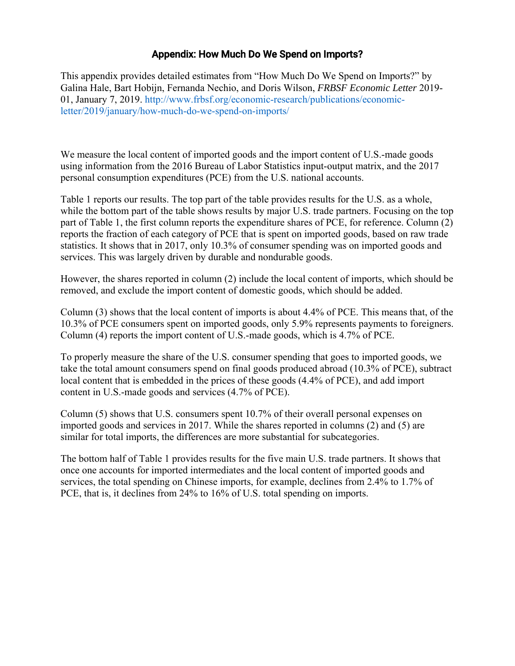## Appendix: How Much Do We Spend on Imports?

This appendix provides detailed estimates from "How Much Do We Spend on Imports?" by Galina Hale, Bart Hobijn, Fernanda Nechio, and Doris Wilson, *FRBSF Economic Letter* 2019- 01, January 7, 2019. http://www.frbsf.org/economic-research/publications/economicletter/2019/january/how-much-do-we-spend-on-imports/

We measure the local content of imported goods and the import content of U.S.-made goods using information from the 2016 Bureau of Labor Statistics input-output matrix, and the 2017 personal consumption expenditures (PCE) from the U.S. national accounts.

Table 1 reports our results. The top part of the table provides results for the U.S. as a whole, while the bottom part of the table shows results by major U.S. trade partners. Focusing on the top part of Table 1, the first column reports the expenditure shares of PCE, for reference. Column (2) reports the fraction of each category of PCE that is spent on imported goods, based on raw trade statistics. It shows that in 2017, only 10.3% of consumer spending was on imported goods and services. This was largely driven by durable and nondurable goods.

However, the shares reported in column (2) include the local content of imports, which should be removed, and exclude the import content of domestic goods, which should be added.

Column (3) shows that the local content of imports is about 4.4% of PCE. This means that, of the 10.3% of PCE consumers spent on imported goods, only 5.9% represents payments to foreigners. Column (4) reports the import content of U.S.-made goods, which is 4.7% of PCE.

To properly measure the share of the U.S. consumer spending that goes to imported goods, we take the total amount consumers spend on final goods produced abroad (10.3% of PCE), subtract local content that is embedded in the prices of these goods (4.4% of PCE), and add import content in U.S.-made goods and services (4.7% of PCE).

Column (5) shows that U.S. consumers spent 10.7% of their overall personal expenses on imported goods and services in 2017. While the shares reported in columns (2) and (5) are similar for total imports, the differences are more substantial for subcategories.

The bottom half of Table 1 provides results for the five main U.S. trade partners. It shows that once one accounts for imported intermediates and the local content of imported goods and services, the total spending on Chinese imports, for example, declines from 2.4% to 1.7% of PCE, that is, it declines from 24% to 16% of U.S. total spending on imports.